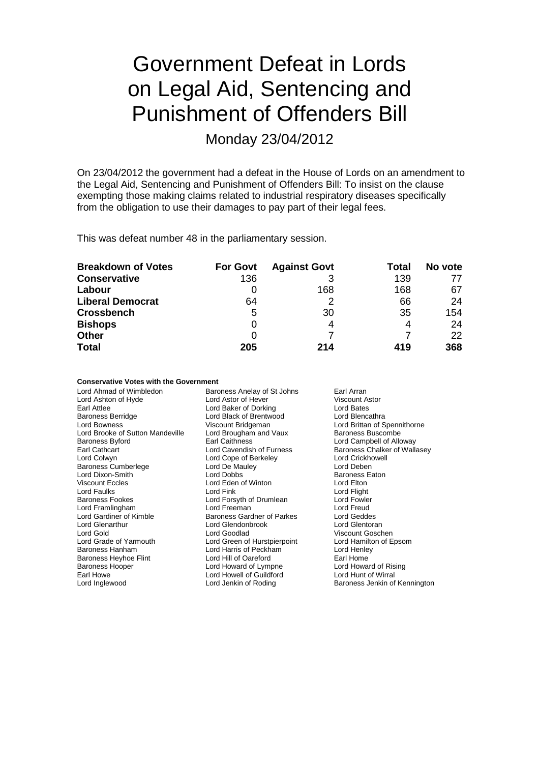# Government Defeat in Lords on Legal Aid, Sentencing and Punishment of Offenders Bill

Monday 23/04/2012

On 23/04/2012 the government had a defeat in the House of Lords on an amendment to the Legal Aid, Sentencing and Punishment of Offenders Bill: To insist on the clause exempting those making claims related to industrial respiratory diseases specifically from the obligation to use their damages to pay part of their legal fees.

This was defeat number 48 in the parliamentary session.

| <b>Breakdown of Votes</b> | <b>For Govt</b> | <b>Against Govt</b> | Total | No vote |
|---------------------------|-----------------|---------------------|-------|---------|
| <b>Conservative</b>       | 136             |                     | 139   |         |
| Labour                    |                 | 168                 | 168   | 67      |
| <b>Liberal Democrat</b>   | 64              |                     | 66    | 24      |
| <b>Crossbench</b>         | 5               | 30                  | 35    | 154     |
| <b>Bishops</b>            | 0               | 4                   | 4     | 24      |
| <b>Other</b>              | 0               |                     |       | 22      |
| <b>Total</b>              | 205             | 214                 | 419   | 368     |

### **Conservative Votes with the Government**

| Lord Ahmad of Wimbledon          | Baroness Anelay of St Johns       | Earl Arran                    |
|----------------------------------|-----------------------------------|-------------------------------|
| Lord Ashton of Hyde              | Lord Astor of Hever               | <b>Viscount Astor</b>         |
| Earl Attlee                      | Lord Baker of Dorking             | Lord Bates                    |
| <b>Baroness Berridge</b>         | Lord Black of Brentwood           | Lord Blencathra               |
| Lord Bowness                     | Viscount Bridgeman                | Lord Brittan of Spennithorne  |
| Lord Brooke of Sutton Mandeville | Lord Brougham and Vaux            | <b>Baroness Buscombe</b>      |
| <b>Baroness Byford</b>           | Earl Caithness                    | Lord Campbell of Alloway      |
| Earl Cathcart                    | Lord Cavendish of Furness         | Baroness Chalker of Wallasey  |
| Lord Colwyn                      | Lord Cope of Berkeley             | Lord Crickhowell              |
| <b>Baroness Cumberlege</b>       | Lord De Mauley                    | Lord Deben                    |
| Lord Dixon-Smith                 | Lord Dobbs                        | <b>Baroness Eaton</b>         |
| <b>Viscount Eccles</b>           | Lord Eden of Winton               | Lord Elton                    |
| Lord Faulks                      | Lord Fink                         | Lord Flight                   |
| <b>Baroness Fookes</b>           | Lord Forsyth of Drumlean          | Lord Fowler                   |
| Lord Framlingham                 | Lord Freeman                      | Lord Freud                    |
| Lord Gardiner of Kimble          | <b>Baroness Gardner of Parkes</b> | Lord Geddes                   |
| Lord Glenarthur                  | Lord Glendonbrook                 | Lord Glentoran                |
| Lord Gold                        | Lord Goodlad                      | Viscount Goschen              |
| Lord Grade of Yarmouth           | Lord Green of Hurstpierpoint      | Lord Hamilton of Epsom        |
| Baroness Hanham                  | Lord Harris of Peckham            | Lord Henley                   |
| Baroness Heyhoe Flint            | Lord Hill of Oareford             | Earl Home                     |
| <b>Baroness Hooper</b>           | Lord Howard of Lympne             | Lord Howard of Rising         |
| Earl Howe                        | Lord Howell of Guildford          | Lord Hunt of Wirral           |
| Lord Inglewood                   | Lord Jenkin of Roding             | Baroness Jenkin of Kennington |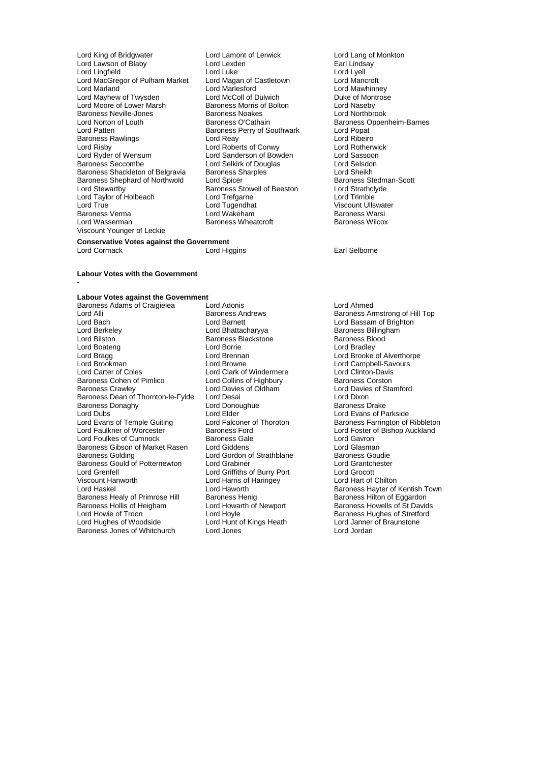- Lord King of Bridgwater Lord Lamont of Lerwick Lord Lang of Monkton<br>
Lord Lawson of Blaby Lord Lexden Lord Lexten Earl Lindsay Lord Lawson of Blaby **Lord Lexden** Lord Lexden **Earl Linds**<br>
Lord Lingfield **Conduct Lord Luke** Lord Lyell Lord Lingfield Lord Luke Lord Lyell Lord MacGregor of Pulham Market Lord Magan of Castletown Lord Mancroft Lord Marland **Lord Marland Lord Marland Lord Marland Lord Marland Lord Marland Lord Marland Lord Marland Lord Marland Lord Marland Lord Marland Lord Marland Lord Marland Lord Marland Lord Marland Lord Marland Lord Marland** Lord Mayhew of Twysden Lord McColl of Dulwich Cord Montrose of Montrose Duke of Montrose Cord Naseby<br>
Lord Moore of Lower Marsh Caroness Morris of Bolton Cord Naseby Lord Moore of Lower Marsh Baroness Morris of Bolton Lord Naseby Baroness Neville-Jones<br>
Lord Norton of Louth<br>
Baroness O'Cathain Lord Norton of Louth Baroness O'Cathain Baroness Oppenheim-Barnes Baroness Rawlings<br>
Lord Risby **Lord Roberts of Conwy** Cord Roberts Context Lord Roberts of Context Lord Rotherwick Lord Risby The Lord Roberts of Conwy<br>
Lord Ryder of Wensum<br>
Lord Sanderson of Bowden<br>
Lord Ryder of Wensum<br>
Lord Sassoon Lord Ryder of Wensum Lord Sanderson of Bowden Lord Sassoon Baroness Shackleton of Belgravia Baroness Sharples **Lord Sheikh**<br>Baroness Shephard of Northwold Lord Spicer **Lord Sharples** Baroness Stedman-Scott Baroness Shephard of Northwold Lord Spicer Consumers Stedman Baroness Stedman<br>
Lord Stewartby Caroness Stowell of Beeston Lord Strathclyde Lord Stewartby<br>
Lord Taylor of Holbeach<br>
Lord Trefgarne<br>
Lord Trefgarne<br>
Lord Tugendhat Baroness Verma Lord Wakeham Baroness Warsi Viscount Younger of Leckie
- Baroness Perry of Southwark Lord Popat<br>Lord Reav Lord Ribeiro **Example 2 Lord Selkirk of Douglas Lord Selsdon<br>Baroness Sharples Lord Sheikh** Baroness Stowell of Beeston Lord Strathcl<br>
Lord Trefgarne Lord Trimble Lord True Lord Tugendhat Viscount Ullswater Baroness Wheatcroft

#### **Conservative Votes against the Government**

**-**

### **Labour Votes with the Government**

### **Labour Votes against the Government**

Baroness Adams of Craigielea Lord Adonis Lord Ahmed Lord Alli **Baroness Andrews** Baroness Andrews Baroness Armstrong of Hill Top Lord Baroness Armstrong of Hill Top Lord Baroness Armstrong of Hill Top Lord Baroness Andrews Lord Baroness Armstrong of Hill Top Lord Baroness A Lord Bach Lord Barnett Lord Barnett Lord Bassam of Brighton<br>
Lord Berkeley Cord Bhattacharyya Baroness Billingham Lord Berkeley **Lord Bhattacharyya** Baroness Billingham<br>
Lord Bilston **Baroness Blackstone** Baroness Blackstone Baroness Blood Lord Bilston **Baroness Blackstone**<br> **Lord Boateng**<br>
Baroness Blackstone Lord Boateng Lord Borrie Lord Bradley Lord Bragg Lord Brennan Lord Brooke of Alverthorpe Lord Brookman Lord Browne Lord Campbell-Savours Lord Carter of Coles<br>
Baroness Cohen of Pimlico<br>
Lord Collins of Highbury<br>
Baroness Corston Baroness Cohen of Pimlico Lord Collins of Highbury<br>Baroness Crawley **Lord Davies of Oldham** Baroness Dean of Thornton-le-Fylde Lord Desai Communication and Dixon<br>Baroness Donaghy Lord Donoughue Communication Baroness Drake Baroness Donaghy Lord Donoughue Baroness Donaghy<br>
Lord Dubs<br>
Lord Elder Lord Dubs<br>
Lord Evans of Temple Guiting Lord Elder Lord Encroption<br>
Lord Evans of Temple Guiting Lord Falconer of Thoroton Baroness Farrington of Lord Evans of Temple Guiting Lord Falconer of Thoroton Baroness Farrington of Ribbleton<br>
Lord Faulkner of Worcester Baroness Ford Saroness Ford Lord Foster of Bishop Auckland Lord Foulkes of Cumnock and Baroness Gale Corresponding Lord Gavron<br>Baroness Gibson of Market Rasen Lord Giddens Corresponding Lord Glasman Baroness Gibson of Market Rasen Lord Giddens **Lord Guasman**<br>Baroness Golding **Lord Gordon of Strathblane** Baroness Goudie Baroness Gould of Potternewton Lord Grabiner Cord Crantchester Cord Grantchester Cord Grantchester Cord Grantch<br>
Lord Grenfell Cord Griffiths of Burry Port Cord Grocott Lord Grenfell **Lord Griffiths of Burry Port** Lord Grocott<br>
Lord Hand Lord Harris of Haringey **Lord Harris Communist Communist Communist** Lord Harris of Chilton Viscount Hanworth **Lord Harris of Haringey**<br>
Lord Haskel **Lord Haworth** Baroness Healy of Primrose Hill Baroness Henig<br>Baroness Hollis of Heigham Lord Howarth of Newport Baroness Hollis of Heigham Lord Howarth of Newport Baroness Howells of St Davids<br>
Lord Howie of Troon Lord Hoyle Cord Hovels Baroness Hughes of Stretford Lord Howie of Troon Lord Hoyle Cord Hoyle<br>
Lord Hundes of Woodside Lord Hunt of Kings Heath Lord Janner of Braunstone Baroness Jones of Whitchurch Lord Jones

- Lord Davies of Oldham Lord Davies of Stamford<br>
Lord Desai Lord Dixon Lord Gordon of Strathblane Frace Baroness Goudie<br>Lord Grabiner Frace Baroness Goudie Lord Hunt of Kings Heath Lord Janner<br>Lord Jones Lord Jondan
- 

### Lord Cormack Lord Higgins Earl Selborne

Baroness Ford **Exercise Exercise Ford Lord Foster of Bishop Auckland Baroness Gale** Baroness Hayter of Kentish Town<br>Baroness Hilton of Eggardon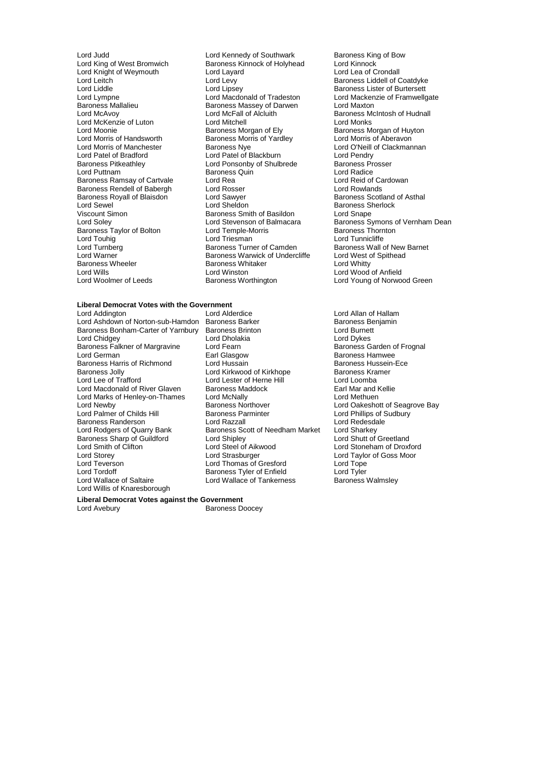Lord Knight of Weymouth Lord Layard Lord Layard Lord Layard Leaful Lord Levy Baroness Mallalieu Baroness Massey of Darwen<br>
Lord McAvoy<br>
Lord McFall of Alcluith Lord McKenzie of Luton<br>
Lord Moonie Baroness Morgan of Ely Lord Morris of Handsworth Baroness Morris of Yardley<br>
Lord Morris of Manchester Baroness Nye Baroness Royall of Blaisdon **Lord Sawyer**<br> **Lord Sewel** Cord Sheldon Baroness Wheeler **Baroness Whitaker** Lord Wills<br>
Lord Wills

Lord Judd<br>
Lord King of West Bromwich **Baroness Kinnock of Holyhead** Lord Kinnock<br>
Lord Kinnock **Baroness Kinnock of Holyhead** Lord Kinnock Baroness Kinnock of Holyhead Lord Kinnock<br>
Lord Lavard Lord Lea of Crondall Lord Leitch Lord Levy Lord Levy Baroness Liddell of Coatdyke<br>
Lord Liddle Lord Linsey Lord Linsey Baroness Lister of Burtersett Lord Liddle Lord Lipsey Lord Lipsey Cord Baroness Lister of Burtersett<br>
Lord Lord Macdonald of Tradeston Lord Mackenzie of Framwello Lord McFall of Alcluith Baroness McIntosh of Hudnall<br>
Lord Mitchell Cord Monks Lord Moonie<br>
Lord Moonie **Baroness Morgan of Ely** Baroness Morris of Huyton<br>
Lord Morris of Handsworth Baroness Morris of Yardley **Baroness Morris of Aberavon** Lord Morris of Manchester **Baroness Nye** Lord O'Neill of Clackmannan<br>
Lord Patel of Bradford Lord Patel of Blackburn<br>
Lord Pendry Lord Patel of Bradford Lord Patel of Blackburn Lord Pendry Baroness Pitkeathley **Lord Ponsonby of Shulbrede** Baroness Prosent Baroness Prosent Baroness Prosent Baroness Quin Baroness Quin **Baroness Quin Contram Baroness Quin Lord Radice**<br>
Lord Rea Lord Reid of Cardowan Baroness Ramsay of Cartvale Lord Rea Lord Rea Lord Reid of Cartvalle Lord Reid of Cartvalle Lord Rosser Lord Rosser Baroness Rendell of Babergh Lord Rosser Lord Rosser Lord Rowlands<br>Baroness Royall of Blaisdon Lord Sawyer Lord Raroness Scotland of Asthal Lord Sewel **Communist Communist Communist Communist Communist Communist Communist Communist Communist Communist Communist Communist Communist Communist Communist Communist Communist Communist Communist Communist Communist** Baroness Smith of Basildon<br>Lord Stevenson of Balmacara Example and Stevenson of Balmacara<br>
Baroness Taylor of Bolton Lord Temple-Morris Baroness Thornton<br>
Lord Townig Lord Triesman Lord Theory Lord Tunnicliffe Lord Touhig **Community Community** Lord Triesman Lord Tunnicliffe<br>
Lord Turnberg **Community Community Community** Baroness Wall Corress Wall Community Baroness Wall ( Lord Turnberg **Baroness Turner of Camden** Baroness Wall of New Barnet<br>
Lord Warner **Baroness Warwick of Undercliffe** Lord West of Spithead Lord Warner Theory Christian Baroness Warwick of Undercliffe Theory Christian Lord West of Baroness Whitaker Christian Lord Whitty Lord Wills Lord Winston Cord Winston Lord Winston Lord Wood of Anfield<br>
Lord Woolmer of Leeds Baroness Worthington Lord Young of Norwoo

## **Liberal Democrat Votes with the Government**

Lord Ashdown of Norton-sub-Hamdon Baroness Barker Baroness Baroness Benjamines Baroness Barbary Baroness Benjamines Benjamines Benjamines Benjamines Baroness Benjamines Baroness Benjamines Baroness Benjamines Baroness Benj Baroness Falkner of Margravine Lord Fearn<br>Lord German Baroness Carl Glasgow Lord Marks of Henley-on-Thames Lord McNally<br>Lord Newby **Lord McNally** Baroness Northover Baroness Sharp of Guildford Lord Shipley<br>
Lord Smith of Clifton Lord Steel of Aikwood Lord Willis of Knaresborough

Baroness Bonham-Carter of Yarnbury Baroness Brinton Lord Burnet<br>
Lord Chidgey Lord Drough Lord Dholakia Lord Dholakia<br>Lord Fearn Lord Dykes<br>Baroness Garden of Frognal Lord German **Earl Glasgow** Earl Glasgow Baroness Hamwee<br>Baroness Harris of Richmond Lord Hussain **Early Baroness Hussein-Ece** Baroness Harris of Richmond Lord Hussain<br>Baroness Jolly Carolic Lord Kirkwood of Kirkhope Baroness Kramer Baroness Jolly Lord Kirkwood of Kirkhope Baroness Kra<br>
Lord Lee of Trafford Lord Lester of Herne Hill Lord Loomba Lord Lester of Herne Hill Lord Loomba<br>
Baroness Maddock 
Baroness (Earl Mar and Kellie Lord Macdonald of River Glaven Baroness Maddock Farl Mar and Kellier and Turn Mar and Kellier Baroness Maddock<br>
Lord Marks of Henley-on-Thames Lord McNally Baroness Northover **Lord Oakeshott of Seagrove Bay**<br> **Baroness Parminter Lord Phillips of Sudbury** Lord Palmer of Childs Hill Baroness Parminter Childs And Phillips of Sudden Baroness Parminter Childs and Lord Redesdale Baroness Randerson **Lord Razzall** Lord Redesdale Lord Redesdale Lord Redesdale Lord Redesdale Lord Redesdale Lord Redesdale Lord Sharkey Baroness Scott of Needham Market Lord Sharkey<br>Lord Shipley Lord Shutt of Greetland Lord Smith of Clifton Lord Steel of Aikwood Lord Stoneham of Droxford Lord Storey Lord Strasburger Lord Taylor of Goss Moor Lord Teverson Lord Thomas of Gresford Lord Tope Lord Tordoff **Containst Container Containst Baroness Tyler of Enfield** Lord Tyler Lord Tyler Lord Tyler Lord Tyler<br>
Lord Wallace of Tankerness **Baroness Walmsley** Lord Wallace of Tankerness

**Liberal Democrat Votes against the Government**

Lord Avebury **Baroness Doocey** 

Lord Lympne Lord Macdonald of Tradeston Lord Mackenzie of Framwellgate<br>
Baroness Mallalieu Baroness Massey of Darwen Lord Maxton Lord Stevenson of Balmacara Baroness Symons of Vernham Dean<br>Lord Temple-Morris **Baroness Thornton** Lord Young of Norwood Green

Lord Alderdice **Lord Allan of Hallam**<br>Baroness Barker **Lord Allan of Hallam**